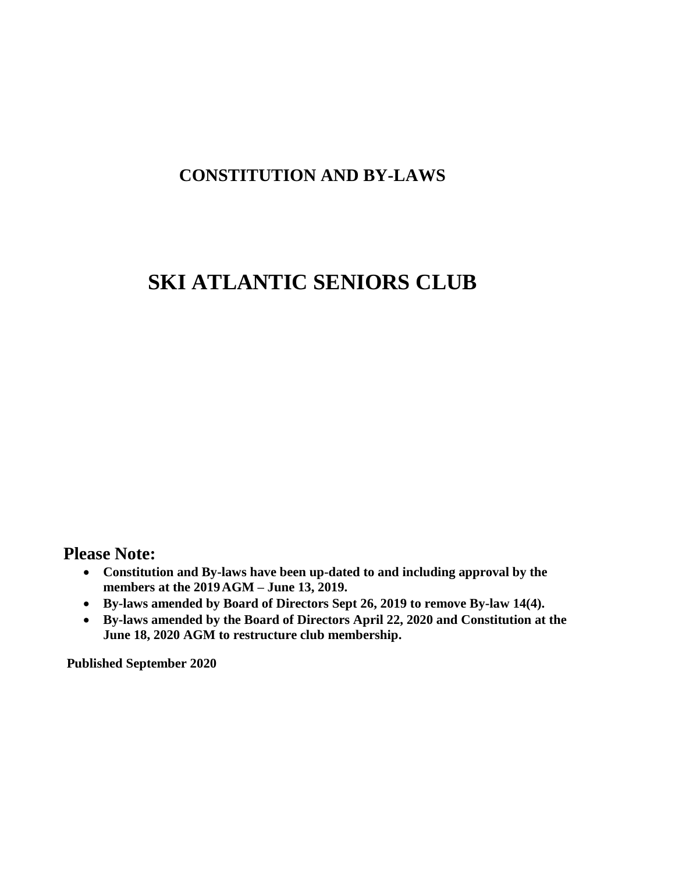## **CONSTITUTION AND BY-LAWS**

# **SKI ATLANTIC SENIORS CLUB**

### **Please Note:**

- **Constitution and By-laws have been up-dated to and including approval by the members at the 2019AGM – June 13, 2019.**
- **By-laws amended by Board of Directors Sept 26, 2019 to remove By-law 14(4).**
- **By-laws amended by the Board of Directors April 22, 2020 and Constitution at the June 18, 2020 AGM to restructure club membership.**

**Published September 2020**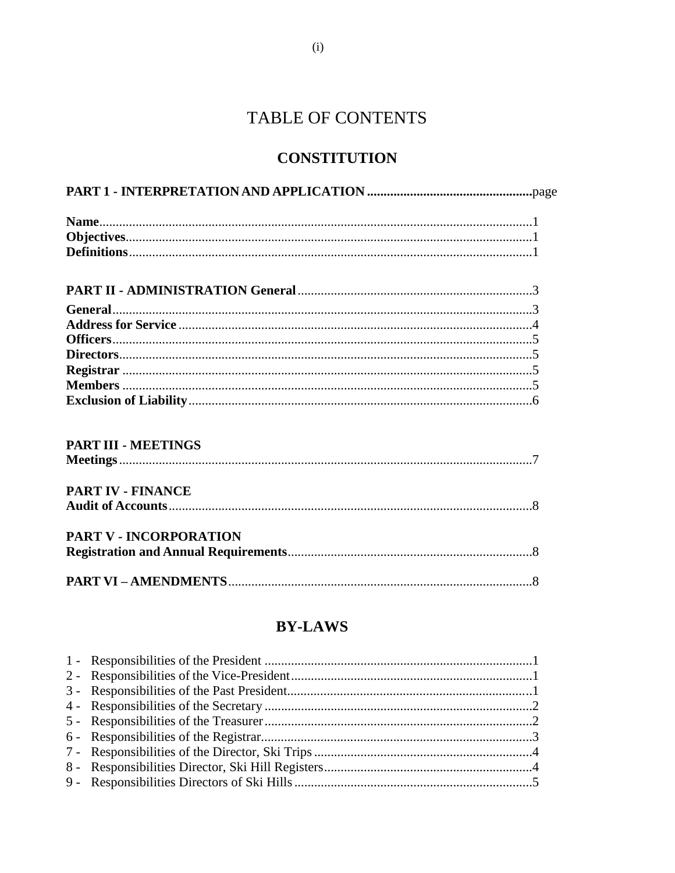## TABLE OF CONTENTS

### **CONSTITUTION**

| PART III - MEETINGS           |  |
|-------------------------------|--|
|                               |  |
| <b>PART IV - FINANCE</b>      |  |
|                               |  |
| <b>PART V - INCORPORATION</b> |  |
|                               |  |
|                               |  |
|                               |  |

### **BY-LAWS**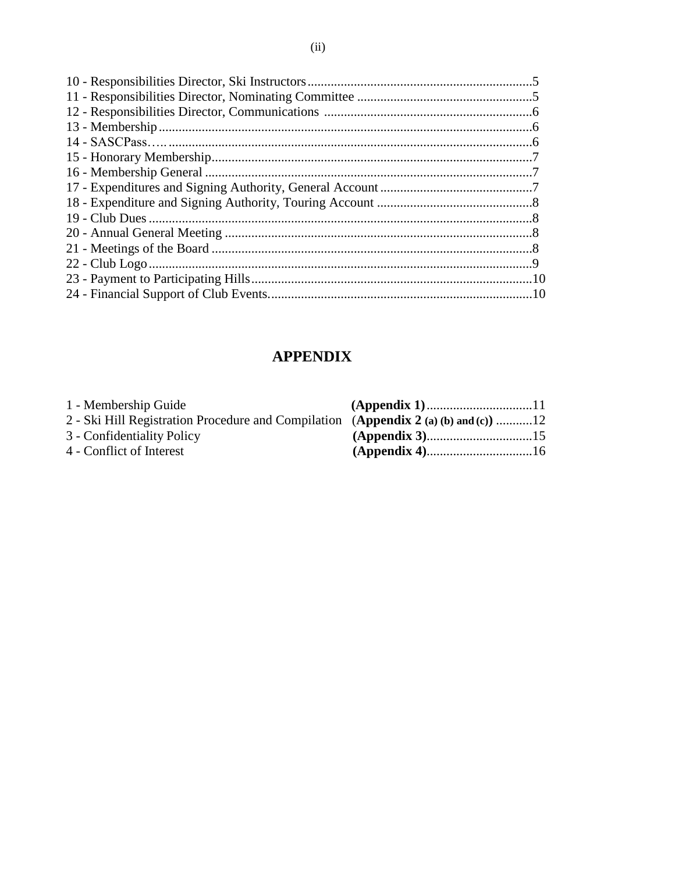### **APPENDIX**

| 1 - Membership Guide                                                                |  |
|-------------------------------------------------------------------------------------|--|
| 2 - Ski Hill Registration Procedure and Compilation (Appendix 2 (a) (b) and (c)) 12 |  |
| 3 - Confidentiality Policy                                                          |  |
| 4 - Conflict of Interest                                                            |  |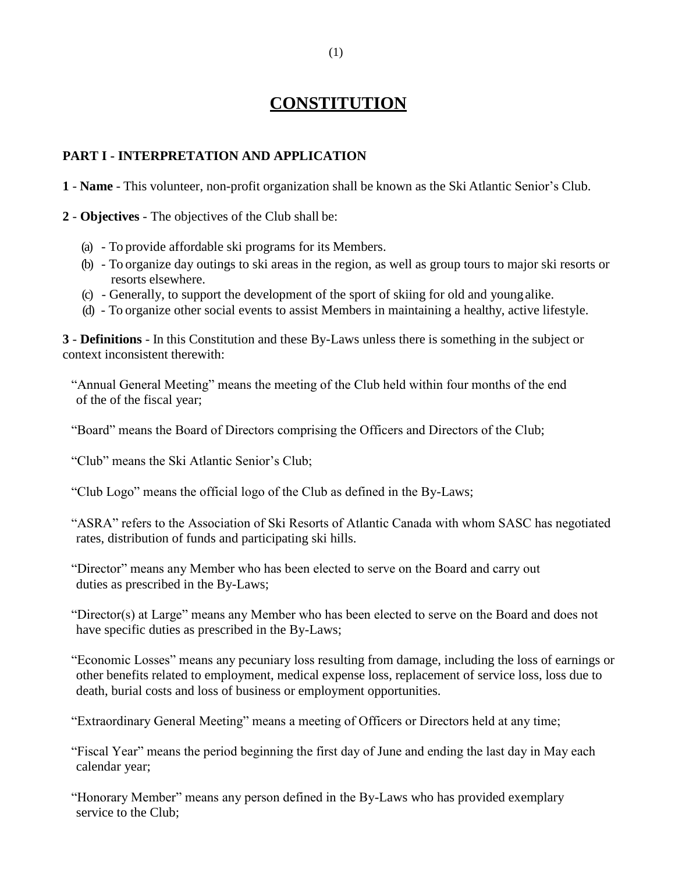## **CONSTITUTION**

#### **PART I - INTERPRETATION AND APPLICATION**

**1** - **Name** - This volunteer, non-profit organization shall be known as the Ski Atlantic Senior's Club.

**2** - **Objectives** - The objectives of the Club shall be:

- (a) To provide affordable ski programs for its Members.
- (b) To organize day outings to ski areas in the region, as well as group tours to major ski resorts or resorts elsewhere.
- (c) Generally, to support the development of the sport of skiing for old and youngalike.
- (d) To organize other social events to assist Members in maintaining a healthy, active lifestyle.

**3** - **Definitions** - In this Constitution and these By-Laws unless there is something in the subject or context inconsistent therewith:

"Annual General Meeting" means the meeting of the Club held within four months of the end of the of the fiscal year;

"Board" means the Board of Directors comprising the Officers and Directors of the Club;

"Club" means the Ski Atlantic Senior's Club;

"Club Logo" means the official logo of the Club as defined in the By-Laws;

"ASRA" refers to the Association of Ski Resorts of Atlantic Canada with whom SASC has negotiated rates, distribution of funds and participating ski hills.

"Director" means any Member who has been elected to serve on the Board and carry out duties as prescribed in the By-Laws;

"Director(s) at Large" means any Member who has been elected to serve on the Board and does not have specific duties as prescribed in the By-Laws;

"Economic Losses" means any pecuniary loss resulting from damage, including the loss of earnings or other benefits related to employment, medical expense loss, replacement of service loss, loss due to death, burial costs and loss of business or employment opportunities.

"Extraordinary General Meeting" means a meeting of Officers or Directors held at any time;

"Fiscal Year" means the period beginning the first day of June and ending the last day in May each calendar year;

"Honorary Member" means any person defined in the By-Laws who has provided exemplary service to the Club;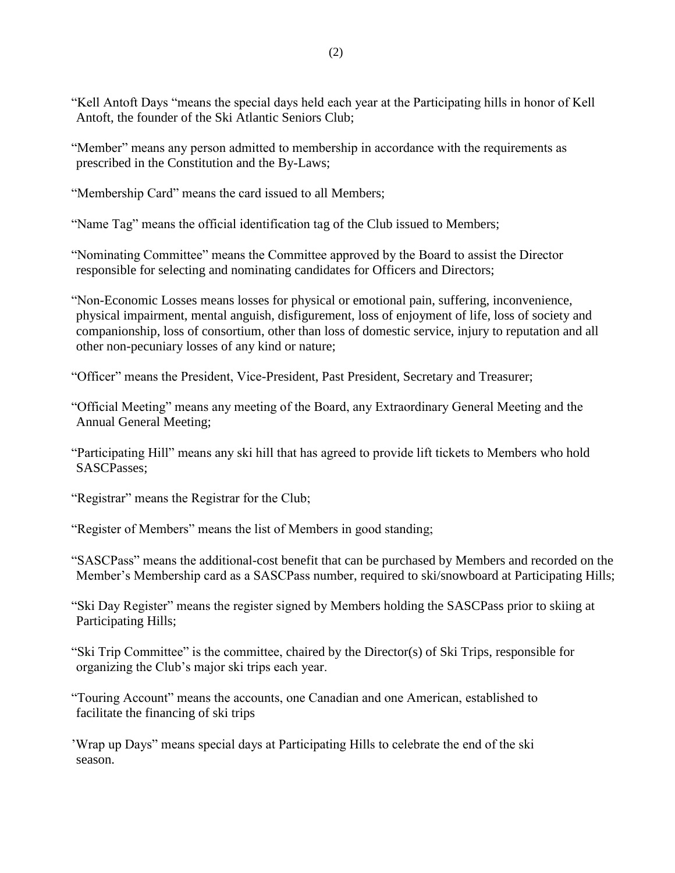- "Member" means any person admitted to membership in accordance with the requirements as prescribed in the Constitution and the By-Laws;
- "Membership Card" means the card issued to all Members;

"Name Tag" means the official identification tag of the Club issued to Members;

"Nominating Committee" means the Committee approved by the Board to assist the Director responsible for selecting and nominating candidates for Officers and Directors;

- "Non-Economic Losses means losses for physical or emotional pain, suffering, inconvenience, physical impairment, mental anguish, disfigurement, loss of enjoyment of life, loss of society and companionship, loss of consortium, other than loss of domestic service, injury to reputation and all other non-pecuniary losses of any kind or nature;
- "Officer" means the President, Vice-President, Past President, Secretary and Treasurer;
- "Official Meeting" means any meeting of the Board, any Extraordinary General Meeting and the Annual General Meeting;
- "Participating Hill" means any ski hill that has agreed to provide lift tickets to Members who hold SASCPasses;
- "Registrar" means the Registrar for the Club;
- "Register of Members" means the list of Members in good standing;
- "SASCPass" means the additional-cost benefit that can be purchased by Members and recorded on the Member's Membership card as a SASCPass number, required to ski/snowboard at Participating Hills;
- "Ski Day Register" means the register signed by Members holding the SASCPass prior to skiing at Participating Hills;
- "Ski Trip Committee" is the committee, chaired by the Director(s) of Ski Trips, responsible for organizing the Club's major ski trips each year.
- "Touring Account" means the accounts, one Canadian and one American, established to facilitate the financing of ski trips
- 'Wrap up Days" means special days at Participating Hills to celebrate the end of the ski season.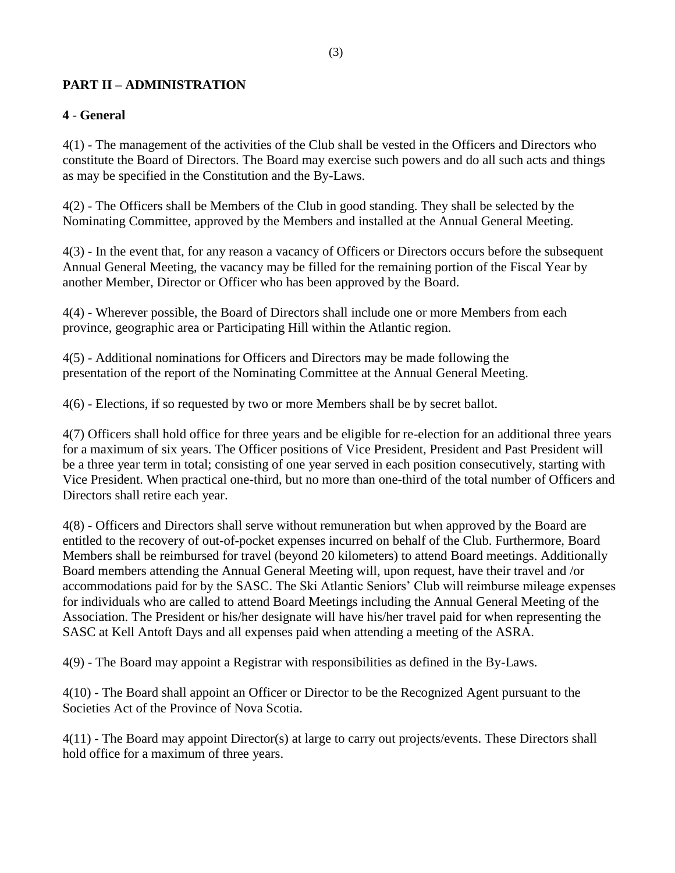#### **PART II – ADMINISTRATION**

#### **4** - **General**

4(1) - The management of the activities of the Club shall be vested in the Officers and Directors who constitute the Board of Directors. The Board may exercise such powers and do all such acts and things as may be specified in the Constitution and the By-Laws.

4(2) - The Officers shall be Members of the Club in good standing. They shall be selected by the Nominating Committee, approved by the Members and installed at the Annual General Meeting.

4(3) - In the event that, for any reason a vacancy of Officers or Directors occurs before the subsequent Annual General Meeting, the vacancy may be filled for the remaining portion of the Fiscal Year by another Member, Director or Officer who has been approved by the Board.

4(4) - Wherever possible, the Board of Directors shall include one or more Members from each province, geographic area or Participating Hill within the Atlantic region.

4(5) - Additional nominations for Officers and Directors may be made following the presentation of the report of the Nominating Committee at the Annual General Meeting.

4(6) - Elections, if so requested by two or more Members shall be by secret ballot.

4(7) Officers shall hold office for three years and be eligible for re-election for an additional three years for a maximum of six years. The Officer positions of Vice President, President and Past President will be a three year term in total; consisting of one year served in each position consecutively, starting with Vice President. When practical one-third, but no more than one-third of the total number of Officers and Directors shall retire each year.

4(8) - Officers and Directors shall serve without remuneration but when approved by the Board are entitled to the recovery of out-of-pocket expenses incurred on behalf of the Club. Furthermore, Board Members shall be reimbursed for travel (beyond 20 kilometers) to attend Board meetings. Additionally Board members attending the Annual General Meeting will, upon request, have their travel and /or accommodations paid for by the SASC. The Ski Atlantic Seniors' Club will reimburse mileage expenses for individuals who are called to attend Board Meetings including the Annual General Meeting of the Association. The President or his/her designate will have his/her travel paid for when representing the SASC at Kell Antoft Days and all expenses paid when attending a meeting of the ASRA.

4(9) - The Board may appoint a Registrar with responsibilities as defined in the By-Laws.

4(10) - The Board shall appoint an Officer or Director to be the Recognized Agent pursuant to the Societies Act of the Province of Nova Scotia.

4(11) - The Board may appoint Director(s) at large to carry out projects/events. These Directors shall hold office for a maximum of three years.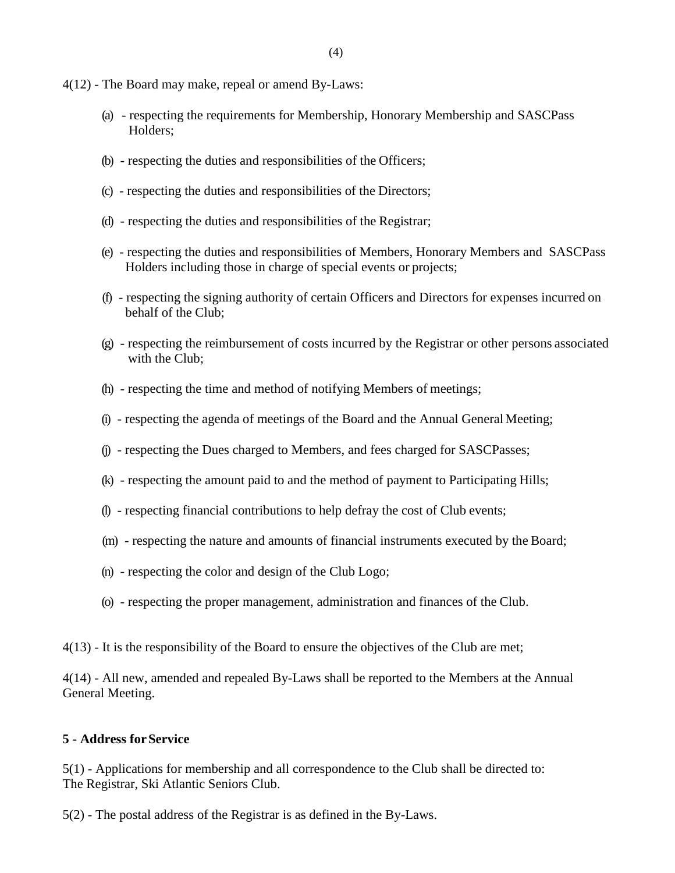- 4(12) The Board may make, repeal or amend By-Laws:
	- (a) respecting the requirements for Membership, Honorary Membership and SASCPass Holders;
	- (b) respecting the duties and responsibilities of the Officers;
	- (c) respecting the duties and responsibilities of the Directors;
	- (d) respecting the duties and responsibilities of the Registrar;
	- (e) respecting the duties and responsibilities of Members, Honorary Members and SASCPass Holders including those in charge of special events or projects;
	- (f) respecting the signing authority of certain Officers and Directors for expenses incurred on behalf of the Club;
	- (g) respecting the reimbursement of costs incurred by the Registrar or other persons associated with the Club;
	- (h) respecting the time and method of notifying Members of meetings;
	- (i) respecting the agenda of meetings of the Board and the Annual General Meeting;
	- (j) respecting the Dues charged to Members, and fees charged for SASCPasses;
	- (k) respecting the amount paid to and the method of payment to Participating Hills;
	- (l) respecting financial contributions to help defray the cost of Club events;
	- (m) respecting the nature and amounts of financial instruments executed by the Board;
	- (n) respecting the color and design of the Club Logo;
	- (o) respecting the proper management, administration and finances of the Club.
- 4(13) It is the responsibility of the Board to ensure the objectives of the Club are met;

4(14) - All new, amended and repealed By-Laws shall be reported to the Members at the Annual General Meeting.

#### **5 - Address forService**

5(1) - Applications for membership and all correspondence to the Club shall be directed to: The Registrar, Ski Atlantic Seniors Club.

5(2) - The postal address of the Registrar is as defined in the By-Laws.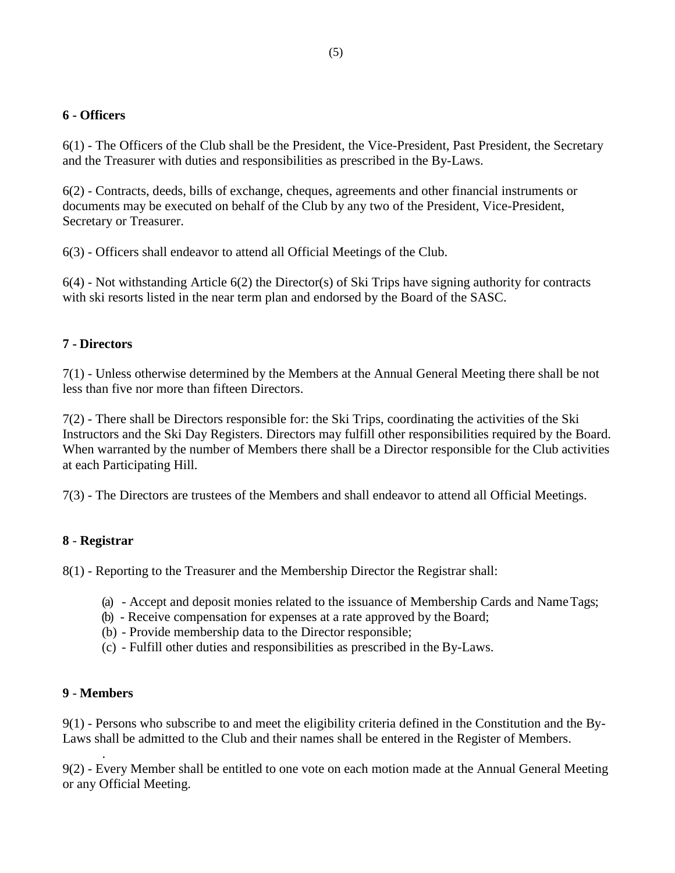#### **6 - Officers**

6(1) - The Officers of the Club shall be the President, the Vice-President, Past President, the Secretary and the Treasurer with duties and responsibilities as prescribed in the By-Laws.

6(2) - Contracts, deeds, bills of exchange, cheques, agreements and other financial instruments or documents may be executed on behalf of the Club by any two of the President, Vice-President, Secretary or Treasurer.

6(3) - Officers shall endeavor to attend all Official Meetings of the Club.

6(4) - Not withstanding Article 6(2) the Director(s) of Ski Trips have signing authority for contracts with ski resorts listed in the near term plan and endorsed by the Board of the SASC.

#### **7 - Directors**

7(1) - Unless otherwise determined by the Members at the Annual General Meeting there shall be not less than five nor more than fifteen Directors.

7(2) - There shall be Directors responsible for: the Ski Trips, coordinating the activities of the Ski Instructors and the Ski Day Registers. Directors may fulfill other responsibilities required by the Board. When warranted by the number of Members there shall be a Director responsible for the Club activities at each Participating Hill.

7(3) - The Directors are trustees of the Members and shall endeavor to attend all Official Meetings.

#### **8** - **Registrar**

8(1) - Reporting to the Treasurer and the Membership Director the Registrar shall:

- (a) Accept and deposit monies related to the issuance of Membership Cards and NameTags;
- (b) Receive compensation for expenses at a rate approved by the Board;
- (b) Provide membership data to the Director responsible;
- (c) Fulfill other duties and responsibilities as prescribed in the By-Laws.

#### **9** - **Members**

.

9(1) - Persons who subscribe to and meet the eligibility criteria defined in the Constitution and the By-Laws shall be admitted to the Club and their names shall be entered in the Register of Members.

9(2) - Every Member shall be entitled to one vote on each motion made at the Annual General Meeting or any Official Meeting.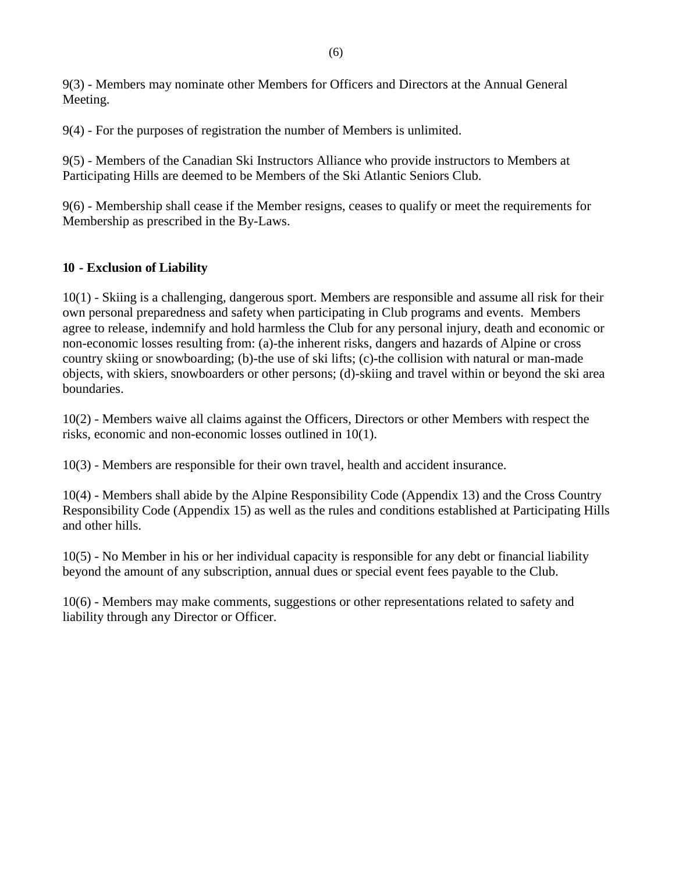9(3) - Members may nominate other Members for Officers and Directors at the Annual General Meeting.

9(4) - For the purposes of registration the number of Members is unlimited.

9(5) - Members of the Canadian Ski Instructors Alliance who provide instructors to Members at Participating Hills are deemed to be Members of the Ski Atlantic Seniors Club.

9(6) - Membership shall cease if the Member resigns, ceases to qualify or meet the requirements for Membership as prescribed in the By-Laws.

#### **10 - Exclusion of Liability**

10(1) - Skiing is a challenging, dangerous sport. Members are responsible and assume all risk for their own personal preparedness and safety when participating in Club programs and events. Members agree to release, indemnify and hold harmless the Club for any personal injury, death and economic or non-economic losses resulting from: (a)-the inherent risks, dangers and hazards of Alpine or cross country skiing or snowboarding; (b)-the use of ski lifts; (c)-the collision with natural or man-made objects, with skiers, snowboarders or other persons; (d)-skiing and travel within or beyond the ski area boundaries.

10(2) - Members waive all claims against the Officers, Directors or other Members with respect the risks, economic and non-economic losses outlined in 10(1).

10(3) - Members are responsible for their own travel, health and accident insurance.

10(4) - Members shall abide by the Alpine Responsibility Code (Appendix 13) and the Cross Country Responsibility Code (Appendix 15) as well as the rules and conditions established at Participating Hills and other hills.

10(5) - No Member in his or her individual capacity is responsible for any debt or financial liability beyond the amount of any subscription, annual dues or special event fees payable to the Club.

10(6) - Members may make comments, suggestions or other representations related to safety and liability through any Director or Officer.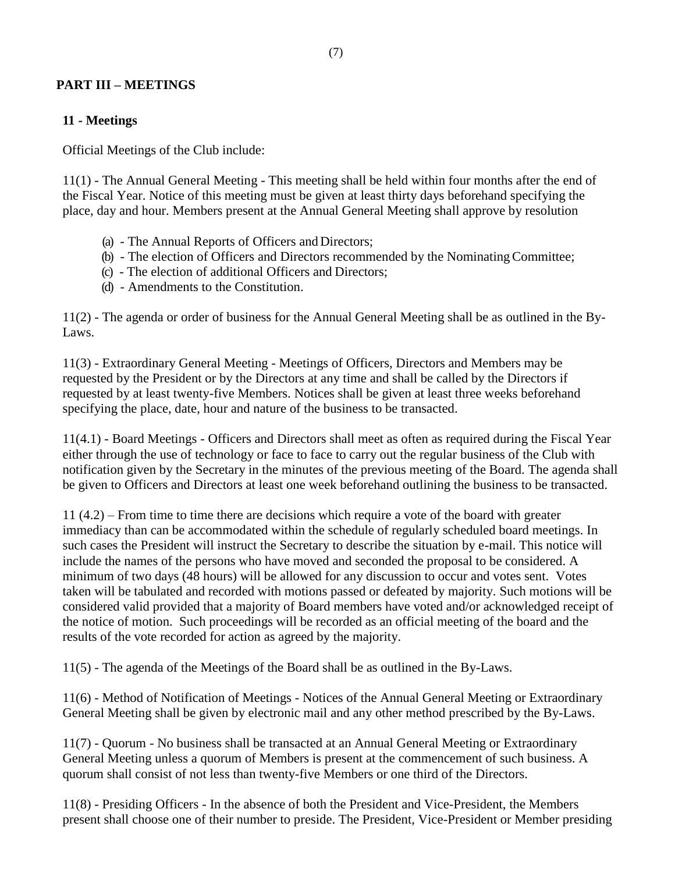#### **PART III – MEETINGS**

#### **11 - Meetings**

Official Meetings of the Club include:

11(1) - The Annual General Meeting - This meeting shall be held within four months after the end of the Fiscal Year. Notice of this meeting must be given at least thirty days beforehand specifying the place, day and hour. Members present at the Annual General Meeting shall approve by resolution

- (a) The Annual Reports of Officers and Directors;
- (b) The election of Officers and Directors recommended by the NominatingCommittee;
- (c) The election of additional Officers and Directors;
- (d) Amendments to the Constitution.

11(2) - The agenda or order of business for the Annual General Meeting shall be as outlined in the By-Laws.

11(3) - Extraordinary General Meeting - Meetings of Officers, Directors and Members may be requested by the President or by the Directors at any time and shall be called by the Directors if requested by at least twenty-five Members. Notices shall be given at least three weeks beforehand specifying the place, date, hour and nature of the business to be transacted.

11(4.1) - Board Meetings - Officers and Directors shall meet as often as required during the Fiscal Year either through the use of technology or face to face to carry out the regular business of the Club with notification given by the Secretary in the minutes of the previous meeting of the Board. The agenda shall be given to Officers and Directors at least one week beforehand outlining the business to be transacted.

11 (4.2) – From time to time there are decisions which require a vote of the board with greater immediacy than can be accommodated within the schedule of regularly scheduled board meetings. In such cases the President will instruct the Secretary to describe the situation by e-mail. This notice will include the names of the persons who have moved and seconded the proposal to be considered. A minimum of two days (48 hours) will be allowed for any discussion to occur and votes sent. Votes taken will be tabulated and recorded with motions passed or defeated by majority. Such motions will be considered valid provided that a majority of Board members have voted and/or acknowledged receipt of the notice of motion. Such proceedings will be recorded as an official meeting of the board and the results of the vote recorded for action as agreed by the majority.

11(5) - The agenda of the Meetings of the Board shall be as outlined in the By-Laws.

11(6) - Method of Notification of Meetings - Notices of the Annual General Meeting or Extraordinary General Meeting shall be given by electronic mail and any other method prescribed by the By-Laws.

11(7) - Quorum - No business shall be transacted at an Annual General Meeting or Extraordinary General Meeting unless a quorum of Members is present at the commencement of such business. A quorum shall consist of not less than twenty-five Members or one third of the Directors.

11(8) - Presiding Officers - In the absence of both the President and Vice-President, the Members present shall choose one of their number to preside. The President, Vice-President or Member presiding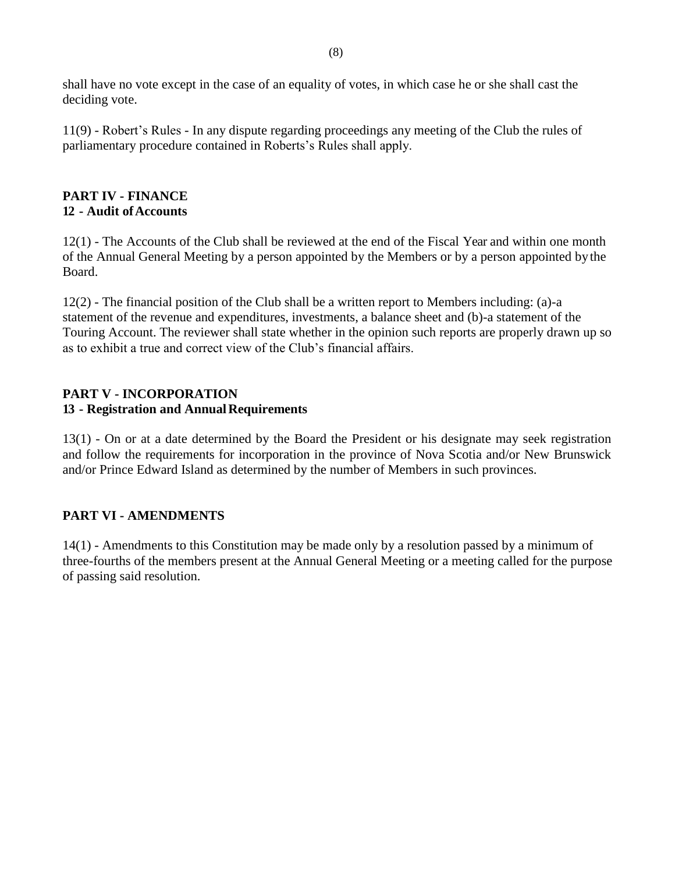shall have no vote except in the case of an equality of votes, in which case he or she shall cast the deciding vote.

11(9) - Robert's Rules - In any dispute regarding proceedings any meeting of the Club the rules of parliamentary procedure contained in Roberts's Rules shall apply.

#### **PART IV - FINANCE 12 - Audit ofAccounts**

12(1) - The Accounts of the Club shall be reviewed at the end of the Fiscal Year and within one month of the Annual General Meeting by a person appointed by the Members or by a person appointed bythe Board.

12(2) - The financial position of the Club shall be a written report to Members including: (a)-a statement of the revenue and expenditures, investments, a balance sheet and (b)-a statement of the Touring Account. The reviewer shall state whether in the opinion such reports are properly drawn up so as to exhibit a true and correct view of the Club's financial affairs.

#### **PART V - INCORPORATION** 13 **- Registration and Annual Requirements**

13(1) - On or at a date determined by the Board the President or his designate may seek registration and follow the requirements for incorporation in the province of Nova Scotia and/or New Brunswick and/or Prince Edward Island as determined by the number of Members in such provinces.

#### **PART VI - AMENDMENTS**

14(1) - Amendments to this Constitution may be made only by a resolution passed by a minimum of three-fourths of the members present at the Annual General Meeting or a meeting called for the purpose of passing said resolution.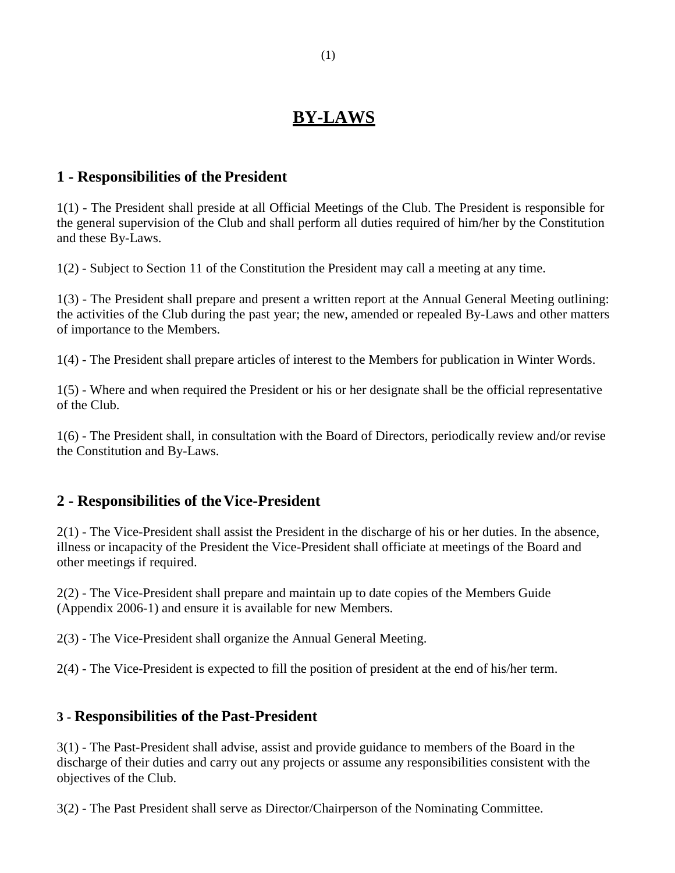## **BY-LAWS**

#### **1 - Responsibilities of the President**

1(1) - The President shall preside at all Official Meetings of the Club. The President is responsible for the general supervision of the Club and shall perform all duties required of him/her by the Constitution and these By-Laws.

1(2) - Subject to Section 11 of the Constitution the President may call a meeting at any time.

1(3) - The President shall prepare and present a written report at the Annual General Meeting outlining: the activities of the Club during the past year; the new, amended or repealed By-Laws and other matters of importance to the Members.

1(4) - The President shall prepare articles of interest to the Members for publication in Winter Words.

1(5) - Where and when required the President or his or her designate shall be the official representative of the Club.

1(6) - The President shall, in consultation with the Board of Directors, periodically review and/or revise the Constitution and By-Laws.

### **2 - Responsibilities of theVice-President**

2(1) - The Vice-President shall assist the President in the discharge of his or her duties. In the absence, illness or incapacity of the President the Vice-President shall officiate at meetings of the Board and other meetings if required.

2(2) - The Vice-President shall prepare and maintain up to date copies of the Members Guide (Appendix 2006-1) and ensure it is available for new Members.

2(3) - The Vice-President shall organize the Annual General Meeting.

2(4) - The Vice-President is expected to fill the position of president at the end of his/her term.

#### **3 - Responsibilities of the Past-President**

3(1) - The Past-President shall advise, assist and provide guidance to members of the Board in the discharge of their duties and carry out any projects or assume any responsibilities consistent with the objectives of the Club.

3(2) - The Past President shall serve as Director/Chairperson of the Nominating Committee.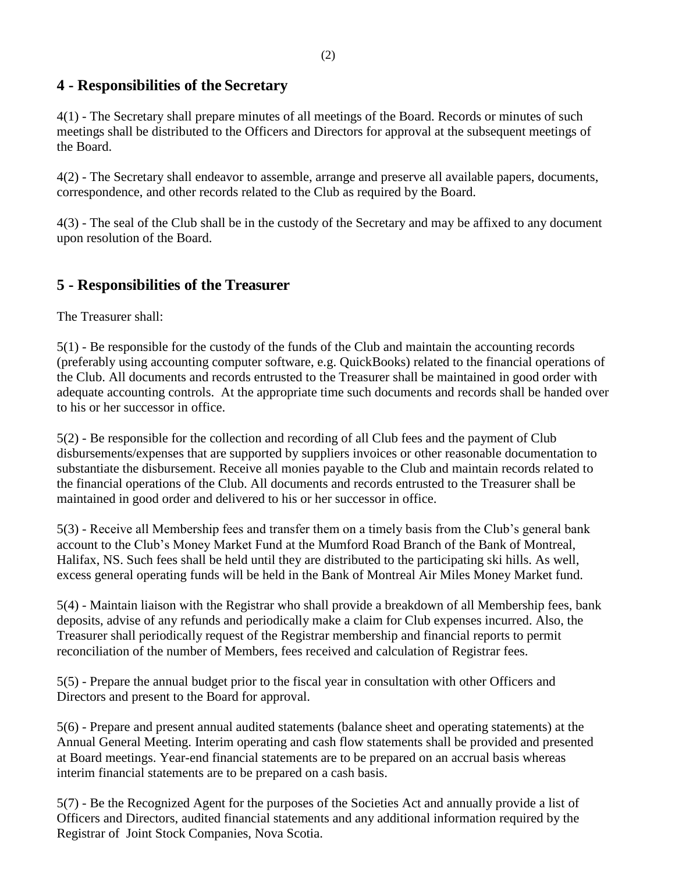### **4 - Responsibilities of the Secretary**

4(1) - The Secretary shall prepare minutes of all meetings of the Board. Records or minutes of such meetings shall be distributed to the Officers and Directors for approval at the subsequent meetings of the Board.

4(2) - The Secretary shall endeavor to assemble, arrange and preserve all available papers, documents, correspondence, and other records related to the Club as required by the Board.

4(3) - The seal of the Club shall be in the custody of the Secretary and may be affixed to any document upon resolution of the Board.

### **5 - Responsibilities of the Treasurer**

The Treasurer shall:

5(1) - Be responsible for the custody of the funds of the Club and maintain the accounting records (preferably using accounting computer software, e.g. QuickBooks) related to the financial operations of the Club. All documents and records entrusted to the Treasurer shall be maintained in good order with adequate accounting controls. At the appropriate time such documents and records shall be handed over to his or her successor in office.

5(2) - Be responsible for the collection and recording of all Club fees and the payment of Club disbursements/expenses that are supported by suppliers invoices or other reasonable documentation to substantiate the disbursement. Receive all monies payable to the Club and maintain records related to the financial operations of the Club. All documents and records entrusted to the Treasurer shall be maintained in good order and delivered to his or her successor in office.

5(3) - Receive all Membership fees and transfer them on a timely basis from the Club's general bank account to the Club's Money Market Fund at the Mumford Road Branch of the Bank of Montreal, Halifax, NS. Such fees shall be held until they are distributed to the participating ski hills. As well, excess general operating funds will be held in the Bank of Montreal Air Miles Money Market fund.

5(4) - Maintain liaison with the Registrar who shall provide a breakdown of all Membership fees, bank deposits, advise of any refunds and periodically make a claim for Club expenses incurred. Also, the Treasurer shall periodically request of the Registrar membership and financial reports to permit reconciliation of the number of Members, fees received and calculation of Registrar fees.

5(5) - Prepare the annual budget prior to the fiscal year in consultation with other Officers and Directors and present to the Board for approval.

5(6) - Prepare and present annual audited statements (balance sheet and operating statements) at the Annual General Meeting. Interim operating and cash flow statements shall be provided and presented at Board meetings. Year-end financial statements are to be prepared on an accrual basis whereas interim financial statements are to be prepared on a cash basis.

5(7) - Be the Recognized Agent for the purposes of the Societies Act and annually provide a list of Officers and Directors, audited financial statements and any additional information required by the Registrar of Joint Stock Companies, Nova Scotia.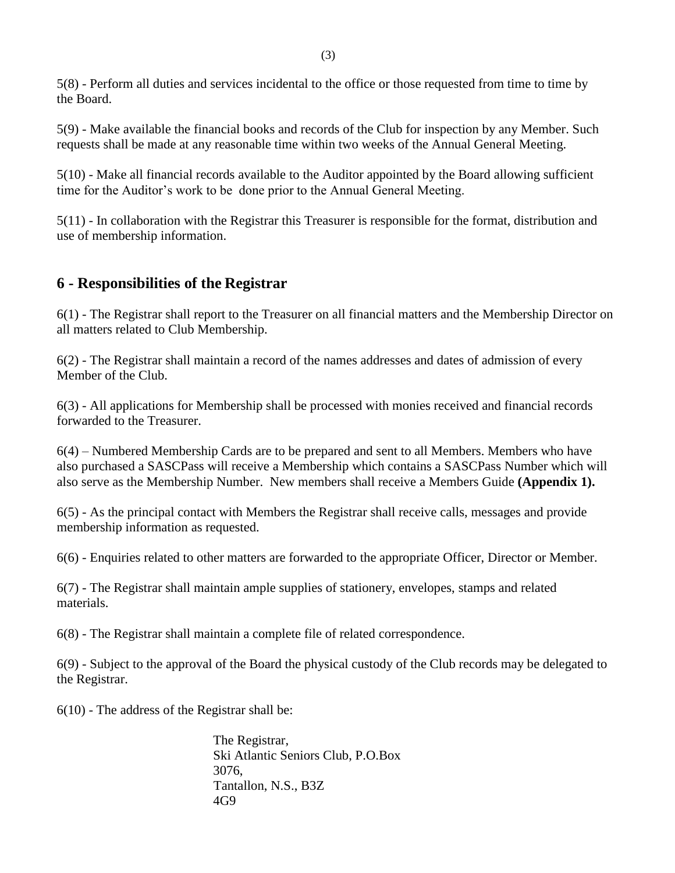5(8) - Perform all duties and services incidental to the office or those requested from time to time by the Board.

5(9) - Make available the financial books and records of the Club for inspection by any Member. Such requests shall be made at any reasonable time within two weeks of the Annual General Meeting.

5(10) - Make all financial records available to the Auditor appointed by the Board allowing sufficient time for the Auditor's work to be done prior to the Annual General Meeting.

5(11) - In collaboration with the Registrar this Treasurer is responsible for the format, distribution and use of membership information.

### **6 - Responsibilities of the Registrar**

6(1) - The Registrar shall report to the Treasurer on all financial matters and the Membership Director on all matters related to Club Membership.

6(2) - The Registrar shall maintain a record of the names addresses and dates of admission of every Member of the Club.

6(3) - All applications for Membership shall be processed with monies received and financial records forwarded to the Treasurer.

6(4) – Numbered Membership Cards are to be prepared and sent to all Members. Members who have also purchased a SASCPass will receive a Membership which contains a SASCPass Number which will also serve as the Membership Number. New members shall receive a Members Guide **(Appendix 1).**

6(5) - As the principal contact with Members the Registrar shall receive calls, messages and provide membership information as requested.

6(6) - Enquiries related to other matters are forwarded to the appropriate Officer, Director or Member.

6(7) - The Registrar shall maintain ample supplies of stationery, envelopes, stamps and related materials.

6(8) - The Registrar shall maintain a complete file of related correspondence.

6(9) - Subject to the approval of the Board the physical custody of the Club records may be delegated to the Registrar.

6(10) - The address of the Registrar shall be:

The Registrar, Ski Atlantic Seniors Club, P.O.Box 3076, Tantallon, N.S., B3Z 4G9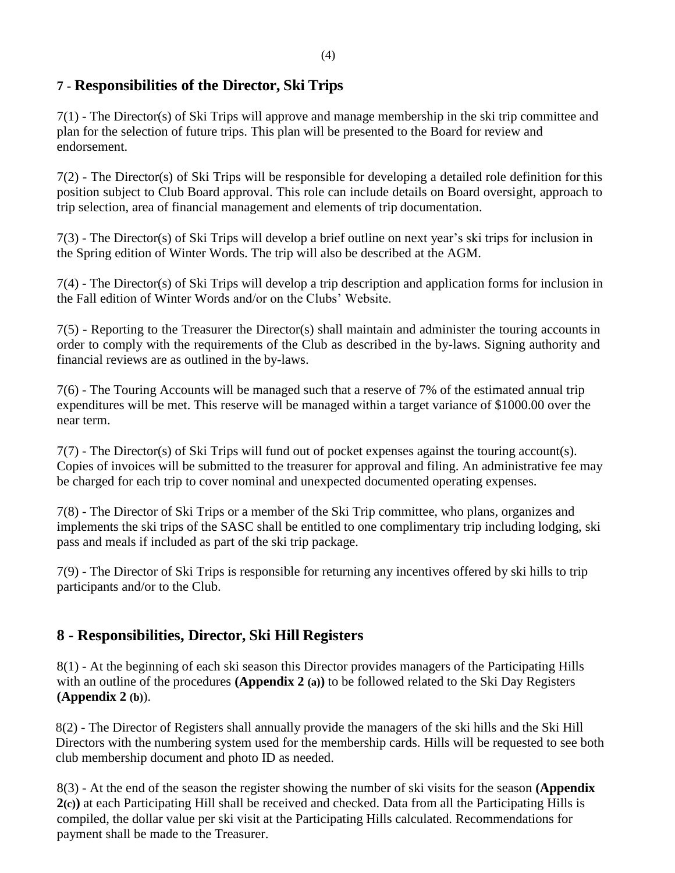### **7 - Responsibilities of the Director, Ski Trips**

7(1) - The Director(s) of Ski Trips will approve and manage membership in the ski trip committee and plan for the selection of future trips. This plan will be presented to the Board for review and endorsement.

7(2) - The Director(s) of Ski Trips will be responsible for developing a detailed role definition for this position subject to Club Board approval. This role can include details on Board oversight, approach to trip selection, area of financial management and elements of trip documentation.

7(3) - The Director(s) of Ski Trips will develop a brief outline on next year's ski trips for inclusion in the Spring edition of Winter Words. The trip will also be described at the AGM.

7(4) - The Director(s) of Ski Trips will develop a trip description and application forms for inclusion in the Fall edition of Winter Words and/or on the Clubs' Website.

7(5) - Reporting to the Treasurer the Director(s) shall maintain and administer the touring accounts in order to comply with the requirements of the Club as described in the by-laws. Signing authority and financial reviews are as outlined in the by-laws.

7(6) - The Touring Accounts will be managed such that a reserve of 7% of the estimated annual trip expenditures will be met. This reserve will be managed within a target variance of \$1000.00 over the near term.

7(7) - The Director(s) of Ski Trips will fund out of pocket expenses against the touring account(s). Copies of invoices will be submitted to the treasurer for approval and filing. An administrative fee may be charged for each trip to cover nominal and unexpected documented operating expenses.

7(8) - The Director of Ski Trips or a member of the Ski Trip committee, who plans, organizes and implements the ski trips of the SASC shall be entitled to one complimentary trip including lodging, ski pass and meals if included as part of the ski trip package.

7(9) - The Director of Ski Trips is responsible for returning any incentives offered by ski hills to trip participants and/or to the Club.

### **8 - Responsibilities, Director, Ski Hill Registers**

8(1) - At the beginning of each ski season this Director provides managers of the Participating Hills with an outline of the procedures **(Appendix 2 (a))** to be followed related to the Ski Day Registers **(Appendix 2 (b)**).

8(2) - The Director of Registers shall annually provide the managers of the ski hills and the Ski Hill Directors with the numbering system used for the membership cards. Hills will be requested to see both club membership document and photo ID as needed.

8(3) - At the end of the season the register showing the number of ski visits for the season **(Appendix 2(c))** at each Participating Hill shall be received and checked. Data from all the Participating Hills is compiled, the dollar value per ski visit at the Participating Hills calculated. Recommendations for payment shall be made to the Treasurer.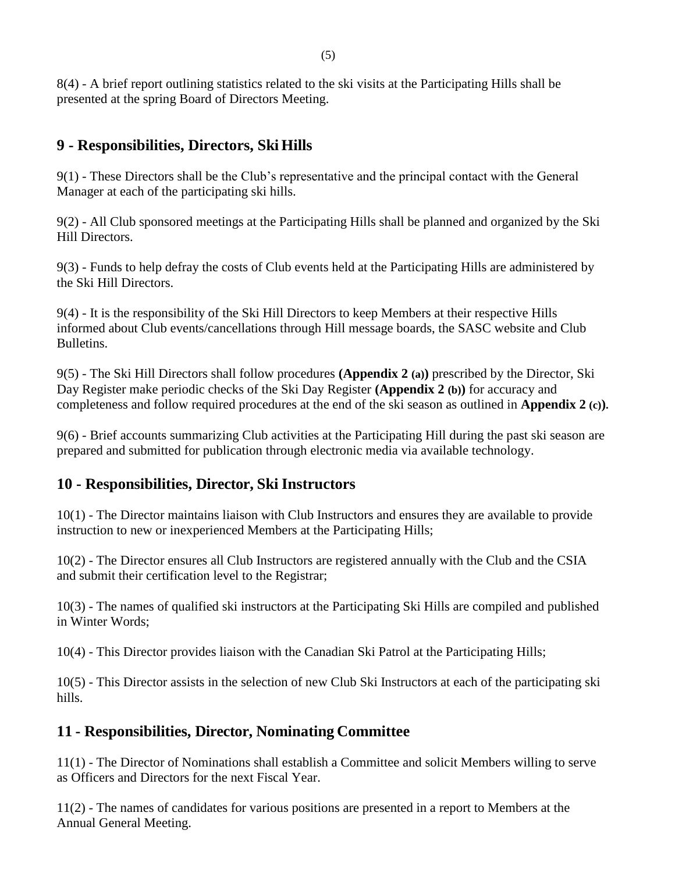8(4) - A brief report outlining statistics related to the ski visits at the Participating Hills shall be presented at the spring Board of Directors Meeting.

### **9 - Responsibilities, Directors, Ski Hills**

9(1) - These Directors shall be the Club's representative and the principal contact with the General Manager at each of the participating ski hills.

9(2) - All Club sponsored meetings at the Participating Hills shall be planned and organized by the Ski Hill Directors.

9(3) - Funds to help defray the costs of Club events held at the Participating Hills are administered by the Ski Hill Directors.

9(4) - It is the responsibility of the Ski Hill Directors to keep Members at their respective Hills informed about Club events/cancellations through Hill message boards, the SASC website and Club Bulletins.

9(5) - The Ski Hill Directors shall follow procedures **(Appendix 2 (a))** prescribed by the Director, Ski Day Register make periodic checks of the Ski Day Register **(Appendix 2 (b))** for accuracy and completeness and follow required procedures at the end of the ski season as outlined in **Appendix 2 (c)).**

9(6) - Brief accounts summarizing Club activities at the Participating Hill during the past ski season are prepared and submitted for publication through electronic media via available technology.

### **10 - Responsibilities, Director, Ski Instructors**

10(1) - The Director maintains liaison with Club Instructors and ensures they are available to provide instruction to new or inexperienced Members at the Participating Hills;

10(2) - The Director ensures all Club Instructors are registered annually with the Club and the CSIA and submit their certification level to the Registrar;

10(3) - The names of qualified ski instructors at the Participating Ski Hills are compiled and published in Winter Words;

10(4) - This Director provides liaison with the Canadian Ski Patrol at the Participating Hills;

10(5) - This Director assists in the selection of new Club Ski Instructors at each of the participating ski hills.

### **11 - Responsibilities, Director, Nominating Committee**

11(1) - The Director of Nominations shall establish a Committee and solicit Members willing to serve as Officers and Directors for the next Fiscal Year.

11(2) - The names of candidates for various positions are presented in a report to Members at the Annual General Meeting.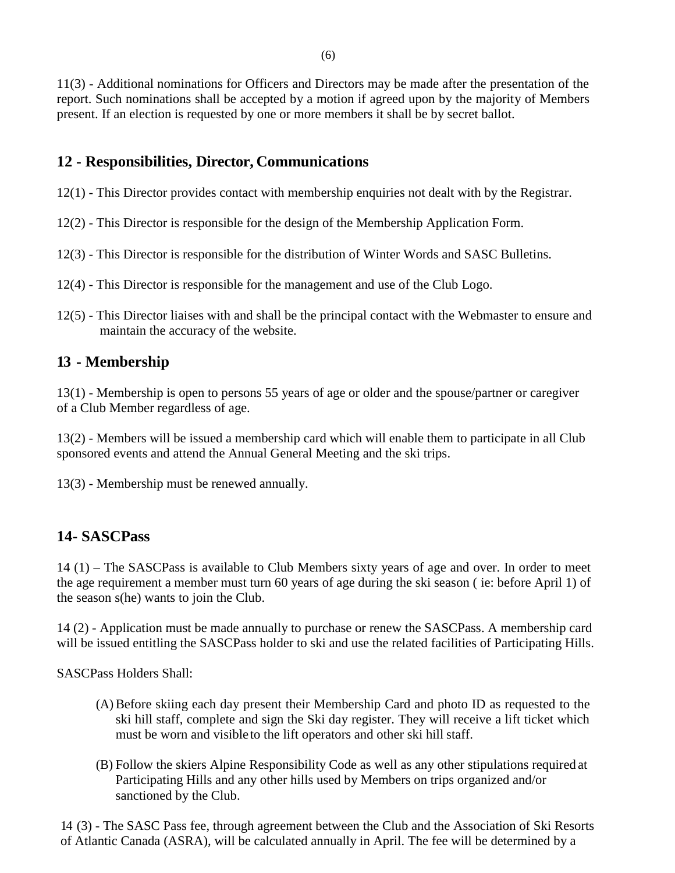11(3) - Additional nominations for Officers and Directors may be made after the presentation of the report. Such nominations shall be accepted by a motion if agreed upon by the majority of Members present. If an election is requested by one or more members it shall be by secret ballot.

### **12 - Responsibilities, Director, Communications**

- 12(1) This Director provides contact with membership enquiries not dealt with by the Registrar.
- 12(2) This Director is responsible for the design of the Membership Application Form.
- 12(3) This Director is responsible for the distribution of Winter Words and SASC Bulletins.
- 12(4) This Director is responsible for the management and use of the Club Logo.
- 12(5) This Director liaises with and shall be the principal contact with the Webmaster to ensure and maintain the accuracy of the website.

### **13 - Membership**

13(1) - Membership is open to persons 55 years of age or older and the spouse/partner or caregiver of a Club Member regardless of age.

13(2) - Members will be issued a membership card which will enable them to participate in all Club sponsored events and attend the Annual General Meeting and the ski trips.

13(3) - Membership must be renewed annually.

### **14- SASCPass**

14 (1) – The SASCPass is available to Club Members sixty years of age and over. In order to meet the age requirement a member must turn 60 years of age during the ski season ( ie: before April 1) of the season s(he) wants to join the Club.

14 (2) - Application must be made annually to purchase or renew the SASCPass. A membership card will be issued entitling the SASCPass holder to ski and use the related facilities of Participating Hills.

SASCPass Holders Shall:

- (A)Before skiing each day present their Membership Card and photo ID as requested to the ski hill staff, complete and sign the Ski day register. They will receive a lift ticket which must be worn and visible to the lift operators and other ski hill staff.
- (B) Follow the skiers Alpine Responsibility Code as well as any other stipulations required at Participating Hills and any other hills used by Members on trips organized and/or sanctioned by the Club.

14 (3) - The SASC Pass fee, through agreement between the Club and the Association of Ski Resorts of Atlantic Canada (ASRA), will be calculated annually in April. The fee will be determined by a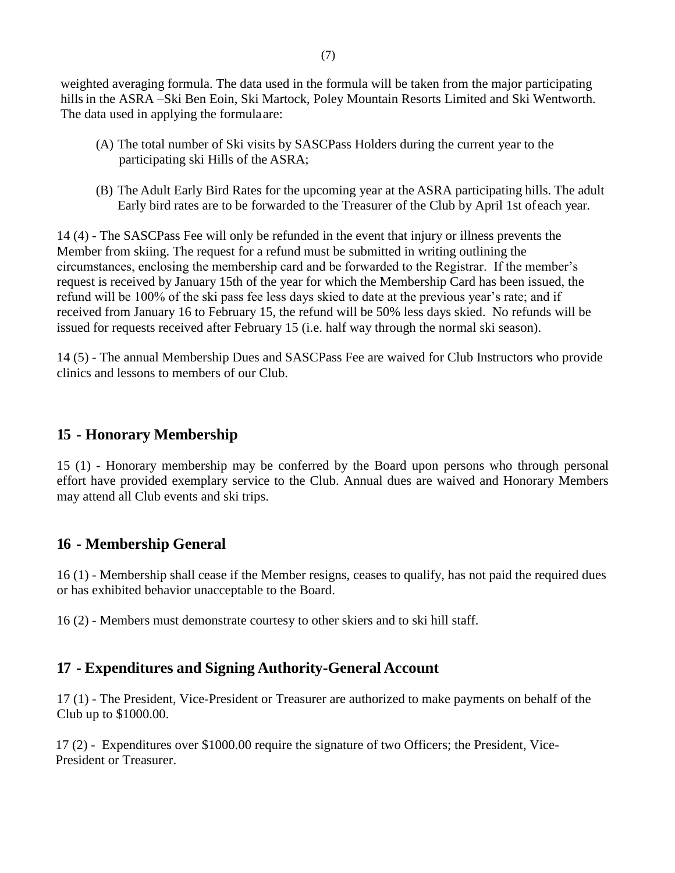weighted averaging formula. The data used in the formula will be taken from the major participating hills in the ASRA –Ski Ben Eoin, Ski Martock, Poley Mountain Resorts Limited and Ski Wentworth. The data used in applying the formulaare:

- (A) The total number of Ski visits by SASCPass Holders during the current year to the participating ski Hills of the ASRA;
- (B) The Adult Early Bird Rates for the upcoming year at the ASRA participating hills. The adult Early bird rates are to be forwarded to the Treasurer of the Club by April 1st ofeach year.

14 (4) - The SASCPass Fee will only be refunded in the event that injury or illness prevents the Member from skiing. The request for a refund must be submitted in writing outlining the circumstances, enclosing the membership card and be forwarded to the Registrar. If the member's request is received by January 15th of the year for which the Membership Card has been issued, the refund will be 100% of the ski pass fee less days skied to date at the previous year's rate; and if received from January 16 to February 15, the refund will be 50% less days skied. No refunds will be issued for requests received after February 15 (i.e. half way through the normal ski season).

14 (5) - The annual Membership Dues and SASCPass Fee are waived for Club Instructors who provide clinics and lessons to members of our Club.

#### **15 - Honorary Membership**

15 (1) - Honorary membership may be conferred by the Board upon persons who through personal effort have provided exemplary service to the Club. Annual dues are waived and Honorary Members may attend all Club events and ski trips.

#### **16 - Membership General**

16 (1) - Membership shall cease if the Member resigns, ceases to qualify, has not paid the required dues or has exhibited behavior unacceptable to the Board.

16 (2) - Members must demonstrate courtesy to other skiers and to ski hill staff.

#### **17 - Expenditures and Signing Authority-General Account**

17 (1) - The President, Vice-President or Treasurer are authorized to make payments on behalf of the Club up to \$1000.00.

17 (2) - Expenditures over \$1000.00 require the signature of two Officers; the President, Vice-President or Treasurer.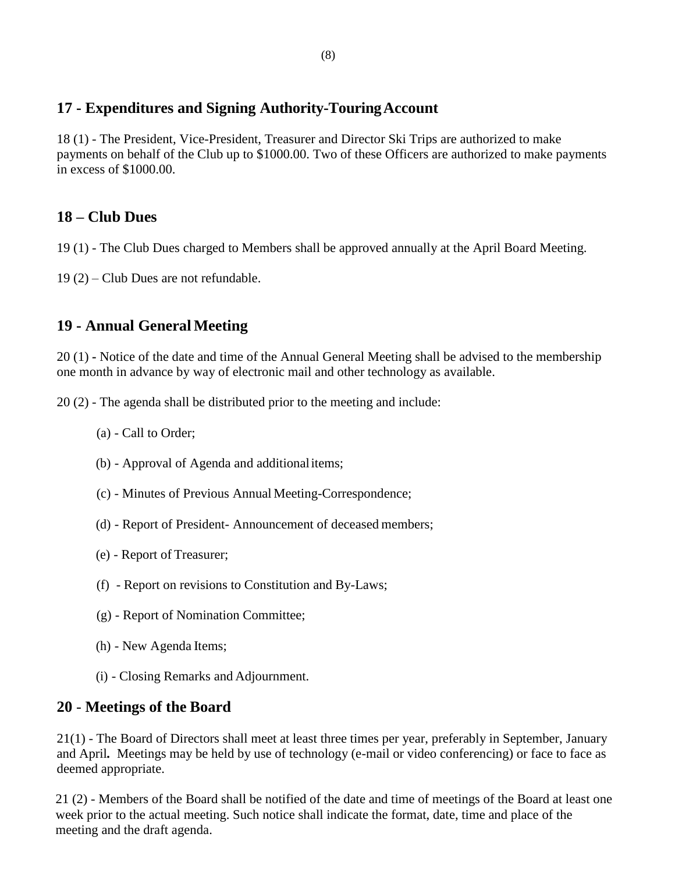### **17 - Expenditures and Signing Authority-TouringAccount**

18 (1) - The President, Vice-President, Treasurer and Director Ski Trips are authorized to make payments on behalf of the Club up to \$1000.00. Two of these Officers are authorized to make payments in excess of \$1000.00.

### **18 – Club Dues**

- 19 (1) The Club Dues charged to Members shall be approved annually at the April Board Meeting.
- 19 (2) Club Dues are not refundable.

### **19 - Annual General Meeting**

20 (1) **-** Notice of the date and time of the Annual General Meeting shall be advised to the membership one month in advance by way of electronic mail and other technology as available.

20 (2) - The agenda shall be distributed prior to the meeting and include:

- (a) Call to Order;
- (b) Approval of Agenda and additionalitems;
- (c) Minutes of Previous Annual Meeting-Correspondence;
- (d) Report of President- Announcement of deceased members;
- (e) Report of Treasurer;
- (f) Report on revisions to Constitution and By-Laws;
- (g) Report of Nomination Committee;
- (h) New Agenda Items;
- (i) Closing Remarks and Adjournment.

### **20** - **Meetings of the Board**

21(1) - The Board of Directors shall meet at least three times per year, preferably in September, January and April*.* Meetings may be held by use of technology (e-mail or video conferencing) or face to face as deemed appropriate.

21 (2) - Members of the Board shall be notified of the date and time of meetings of the Board at least one week prior to the actual meeting. Such notice shall indicate the format, date, time and place of the meeting and the draft agenda.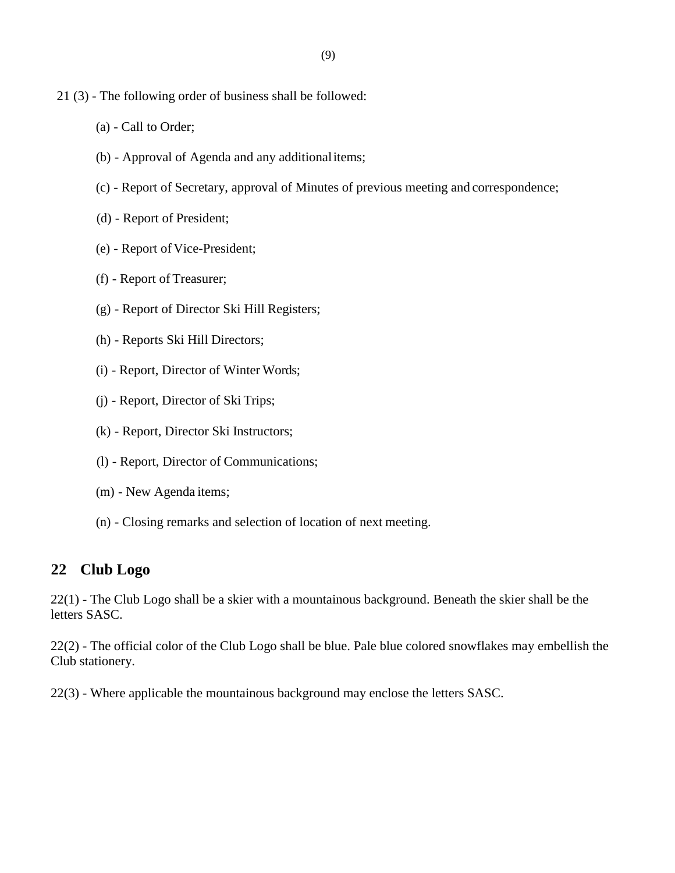- 21 (3) The following order of business shall be followed:
	- (a) Call to Order;
	- (b) Approval of Agenda and any additionalitems;
	- (c) Report of Secretary, approval of Minutes of previous meeting and correspondence;
	- (d) Report of President;
	- (e) Report of Vice-President;
	- (f) Report of Treasurer;
	- (g) Report of Director Ski Hill Registers;
	- (h) Reports Ski Hill Directors;
	- (i) Report, Director of Winter Words;
	- (j) Report, Director of Ski Trips;
	- (k) Report, Director Ski Instructors;
	- (l) Report, Director of Communications;
	- (m) New Agenda items;
	- (n) Closing remarks and selection of location of next meeting.

#### **22 Club Logo**

22(1) - The Club Logo shall be a skier with a mountainous background. Beneath the skier shall be the letters SASC.

22(2) - The official color of the Club Logo shall be blue. Pale blue colored snowflakes may embellish the Club stationery.

22(3) - Where applicable the mountainous background may enclose the letters SASC.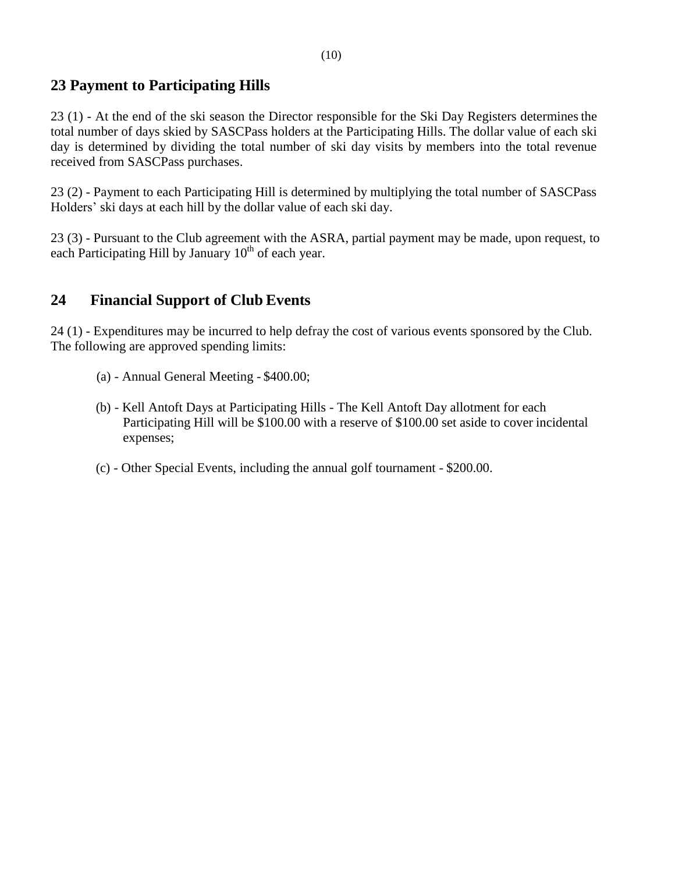### **23 Payment to Participating Hills**

23 (1) - At the end of the ski season the Director responsible for the Ski Day Registers determinesthe total number of days skied by SASCPass holders at the Participating Hills. The dollar value of each ski day is determined by dividing the total number of ski day visits by members into the total revenue received from SASCPass purchases.

23 (2) - Payment to each Participating Hill is determined by multiplying the total number of SASCPass Holders' ski days at each hill by the dollar value of each ski day.

23 (3) - Pursuant to the Club agreement with the ASRA, partial payment may be made, upon request, to each Participating Hill by January  $10^{th}$  of each year.

### **24 Financial Support of Club Events**

24 (1) - Expenditures may be incurred to help defray the cost of various events sponsored by the Club. The following are approved spending limits:

- (a) Annual General Meeting \$400.00;
- (b) Kell Antoft Days at Participating Hills The Kell Antoft Day allotment for each Participating Hill will be \$100.00 with a reserve of \$100.00 set aside to cover incidental expenses;
- (c) Other Special Events, including the annual golf tournament \$200.00.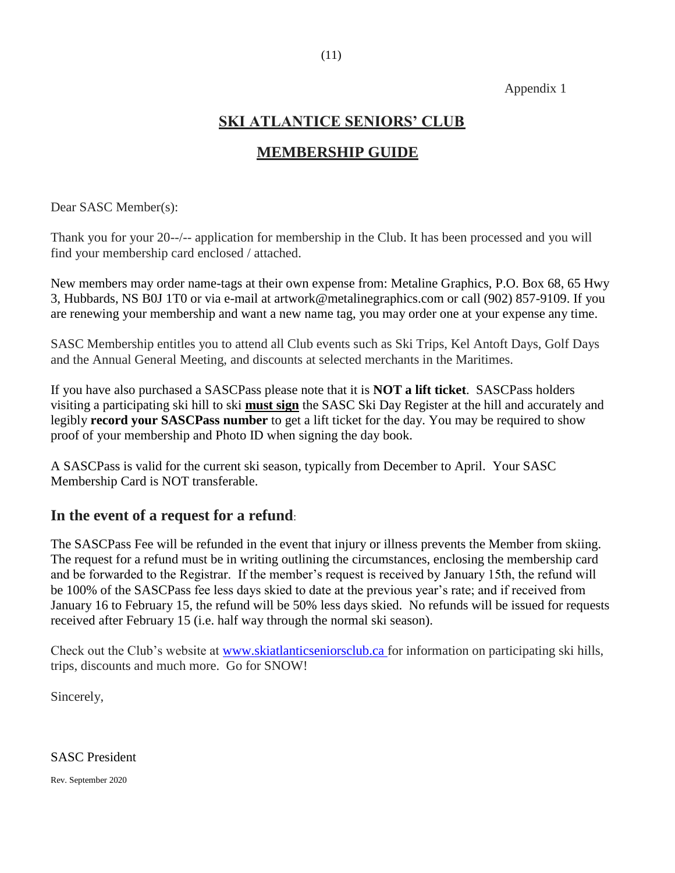#### Appendix 1

### **SKI ATLANTICE SENIORS' CLUB**

### **MEMBERSHIP GUIDE**

Dear SASC Member(s):

Thank you for your 20--/-- application for membership in the Club. It has been processed and you will find your membership card enclosed / attached.

New members may order name-tags at their own expense from: Metaline Graphics, P.O. Box 68, 65 Hwy 3, Hubbards, NS B0J 1T0 or via e-mail at artwork@metalinegraphics.com or call (902) 857-9109. If you are renewing your membership and want a new name tag, you may order one at your expense any time.

SASC Membership entitles you to attend all Club events such as Ski Trips, Kel Antoft Days, Golf Days and the Annual General Meeting, and discounts at selected merchants in the Maritimes.

If you have also purchased a SASCPass please note that it is **NOT a lift ticket**. SASCPass holders visiting a participating ski hill to ski **must sign** the SASC Ski Day Register at the hill and accurately and legibly **record your SASCPass number** to get a lift ticket for the day. You may be required to show proof of your membership and Photo ID when signing the day book.

A SASCPass is valid for the current ski season, typically from December to April. Your SASC Membership Card is NOT transferable.

#### **In the event of a request for a refund**:

The SASCPass Fee will be refunded in the event that injury or illness prevents the Member from skiing. The request for a refund must be in writing outlining the circumstances, enclosing the membership card and be forwarded to the Registrar. If the member's request is received by January 15th, the refund will be 100% of the SASCPass fee less days skied to date at the previous year's rate; and if received from January 16 to February 15, the refund will be 50% less days skied. No refunds will be issued for requests received after February 15 (i.e. half way through the normal ski season).

Check out the Club's website at [www.skiatlanticseniorsclub.ca f](http://www.skiatlanticseniorsclub.ca/)or information on participating ski hills, trips, discounts and much more. Go for SNOW!

Sincerely,

SASC President

Rev. September 2020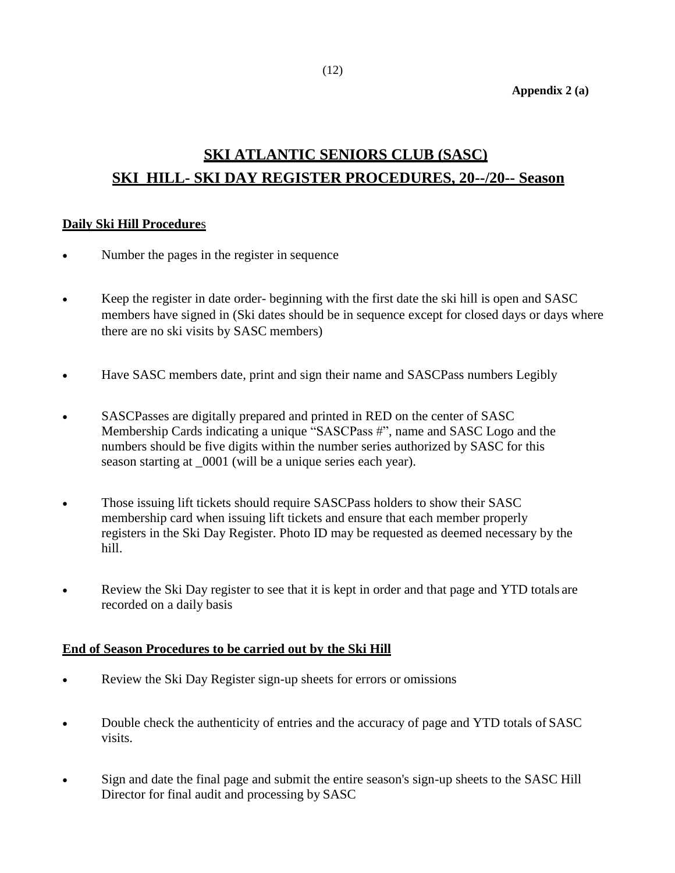**Appendix 2 (a)**

## **SKI ATLANTIC SENIORS CLUB (SASC) SKI HILL- SKI DAY REGISTER PROCEDURES, 20--/20-- Season**

#### **Daily Ski Hill Procedure**s

- Number the pages in the register in sequence
- Keep the register in date order-beginning with the first date the ski hill is open and SASC members have signed in (Ski dates should be in sequence except for closed days or days where there are no ski visits by SASC members)
- Have SASC members date, print and sign their name and SASCPass numbers Legibly
- SASCPasses are digitally prepared and printed in RED on the center of SASC Membership Cards indicating a unique "SASCPass #", name and SASC Logo and the numbers should be five digits within the number series authorized by SASC for this season starting at \_0001 (will be a unique series each year).
- Those issuing lift tickets should require SASCPass holders to show their SASC membership card when issuing lift tickets and ensure that each member properly registers in the Ski Day Register. Photo ID may be requested as deemed necessary by the hill.
- Review the Ski Day register to see that it is kept in order and that page and YTD totals are recorded on a daily basis

#### **End of Season Procedures to be carried out by the Ski Hill**

- Review the Ski Day Register sign-up sheets for errors or omissions
- Double check the authenticity of entries and the accuracy of page and YTD totals of SASC visits.
- Sign and date the final page and submit the entire season's sign-up sheets to the SASC Hill Director for final audit and processing by SASC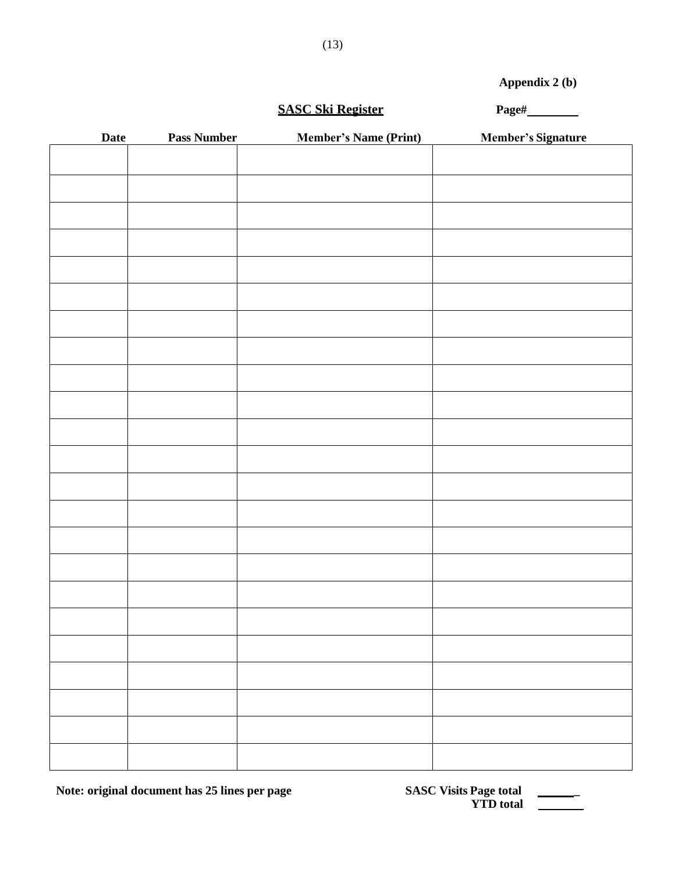**Appendix 2 (b)**

#### **SASC Ski Register Page#**

| Date | <b>Pass Number</b> | <b>Member's Name (Print)</b> | <b>Member's Signature</b> |
|------|--------------------|------------------------------|---------------------------|
|      |                    |                              |                           |
|      |                    |                              |                           |
|      |                    |                              |                           |
|      |                    |                              |                           |
|      |                    |                              |                           |
|      |                    |                              |                           |
|      |                    |                              |                           |
|      |                    |                              |                           |
|      |                    |                              |                           |
|      |                    |                              |                           |
|      |                    |                              |                           |
|      |                    |                              |                           |
|      |                    |                              |                           |
|      |                    |                              |                           |
|      |                    |                              |                           |
|      |                    |                              |                           |
|      |                    |                              |                           |
|      |                    |                              |                           |
|      |                    |                              |                           |
|      |                    |                              |                           |
|      |                    |                              |                           |
|      |                    |                              |                           |
|      |                    |                              |                           |
|      |                    |                              |                           |

**Note: original document has 25 lines per page** 

| <b>SASC Visits Page total</b> |  |
|-------------------------------|--|
| <b>YTD</b> total              |  |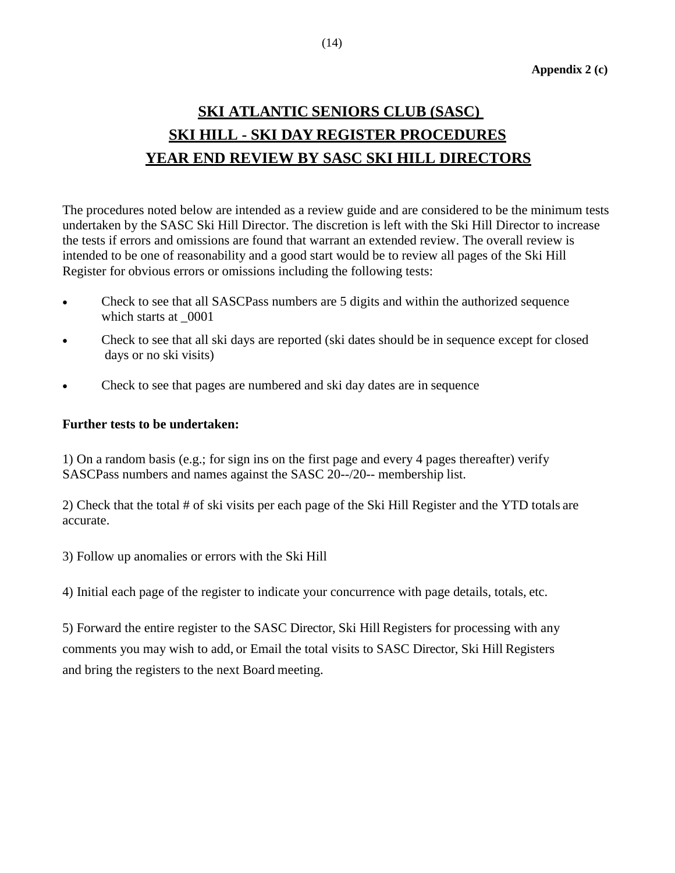## **SKI ATLANTIC SENIORS CLUB (SASC) SKI HILL - SKI DAY REGISTER PROCEDURES YEAR END REVIEW BY SASC SKI HILL DIRECTORS**

The procedures noted below are intended as a review guide and are considered to be the minimum tests undertaken by the SASC Ski Hill Director. The discretion is left with the Ski Hill Director to increase the tests if errors and omissions are found that warrant an extended review. The overall review is intended to be one of reasonability and a good start would be to review all pages of the Ski Hill Register for obvious errors or omissions including the following tests:

- Check to see that all SASCPass numbers are 5 digits and within the authorized sequence which starts at  $0001$
- Check to see that all ski days are reported (ski dates should be in sequence except for closed days or no ski visits)
- Check to see that pages are numbered and ski day dates are in sequence

#### **Further tests to be undertaken:**

1) On a random basis (e.g.; for sign ins on the first page and every 4 pages thereafter) verify SASCPass numbers and names against the SASC 20--/20-- membership list.

2) Check that the total # of ski visits per each page of the Ski Hill Register and the YTD totals are accurate.

3) Follow up anomalies or errors with the Ski Hill

4) Initial each page of the register to indicate your concurrence with page details, totals, etc.

5) Forward the entire register to the SASC Director, Ski Hill Registers for processing with any comments you may wish to add, or Email the total visits to SASC Director, Ski Hill Registers and bring the registers to the next Board meeting.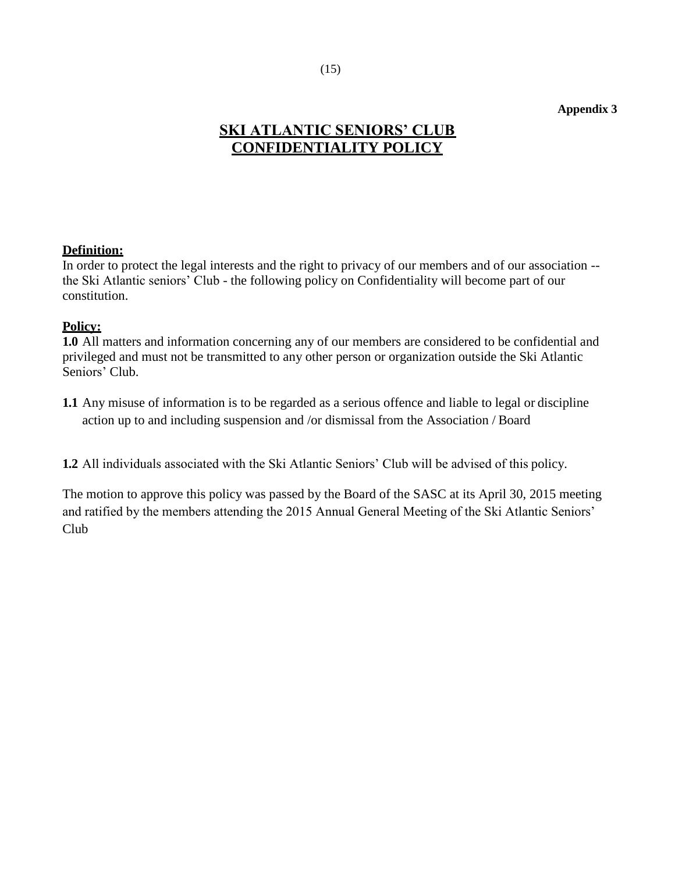#### **Appendix 3**

### **SKI ATLANTIC SENIORS' CLUB CONFIDENTIALITY POLICY**

#### **Definition:**

In order to protect the legal interests and the right to privacy of our members and of our association - the Ski Atlantic seniors' Club - the following policy on Confidentiality will become part of our constitution.

#### **Policy:**

**1.0** All matters and information concerning any of our members are considered to be confidential and privileged and must not be transmitted to any other person or organization outside the Ski Atlantic Seniors' Club.

**1.1** Any misuse of information is to be regarded as a serious offence and liable to legal or discipline action up to and including suspension and /or dismissal from the Association / Board

**1.2** All individuals associated with the Ski Atlantic Seniors' Club will be advised of this policy.

The motion to approve this policy was passed by the Board of the SASC at its April 30, 2015 meeting and ratified by the members attending the 2015 Annual General Meeting of the Ski Atlantic Seniors' Club